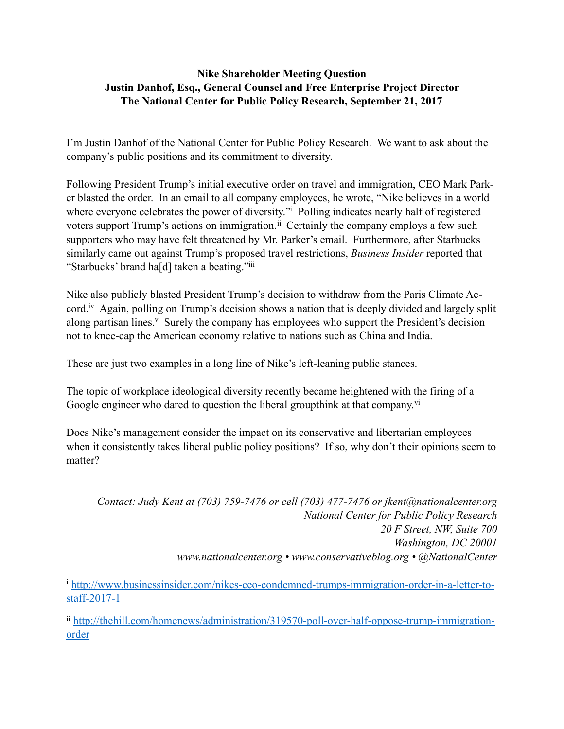## **Nike Shareholder Meeting Question Justin Danhof, Esq., General Counsel and Free Enterprise Project Director The National Center for Public Policy Research, September 21, 2017**

I'm Justin Danhof of the National Center for Public Policy Research. We want to ask about the company's public positions and its commitment to diversity.

<span id="page-0-3"></span><span id="page-0-2"></span>Following President Trump's initial executive order on travel and immigration, CEO Mark Parker blasted the order. In an email to all company employees, he wrote, "Nike believes in a world where everyone celebrates the power of diversity.["](#page-0-0) Poll[i](#page-0-0)ng indicates nearly half of registered voters support Trump's actions on immigration.<sup> $ii$ </sup> Certainly the company employs a few such supporters who may have felt threatened by Mr. Parker's email. Furthermore, after Starbucks similarly came out against Trump's proposed travel restrictions, *Business Insider* reported that "Starbucks' brand ha[d] taken a beating.["iii](#page-1-0)

<span id="page-0-6"></span><span id="page-0-5"></span><span id="page-0-4"></span>Nike also publicly blasted President Trump's decision to withdraw from the Paris Climate Accord.<sup>[iv](#page-1-1)</sup> Again, polling on Trump's decision shows a nation that is deeply divided and largely split along partisan lines[.](#page-1-2)<sup>[v](#page-1-2)</sup> Surely the company has employees who support the President's decision not to knee-cap the American economy relative to nations such as China and India.

These are just two examples in a long line of Nike's left-leaning public stances.

The topic of workplace ideological diversity recently became heightened with the firing of a Google engineer who dared to question the liberal groupthink at that company.<sup>[vi](#page-1-3)</sup>

Does Nike's management consider the impact on its conservative and libertarian employees when it consistently takes liberal public policy positions? If so, why don't their opinions seem to matter?

<span id="page-0-7"></span>*Contact: Judy Kent at (703) 759-7476 or cell (703) 477-7476 or jkent@nationalcenter.org National Center for Public Policy Research 20 F Street, NW, Suite 700 Washington, DC 20001 www.nationalcenter.org • www.conservativeblog.org • @NationalCenter*

<span id="page-0-0"></span><sup>i</sup> [http://www.businessinsider.com/nikes-ceo-condemned-trumps-immigration-order-in-a-letter-to](http://www.businessinsider.com/nikes-ceo-condemned-trumps-immigration-order-in-a-letter-to-staff-2017-1) staff-2017-1

<span id="page-0-1"></span>ii [http://thehill.com/homenews/administration/319570-poll-over-half-oppose-trump-immigration](http://thehill.com/homenews/administration/319570-poll-over-half-oppose-trump-immigration-order) order